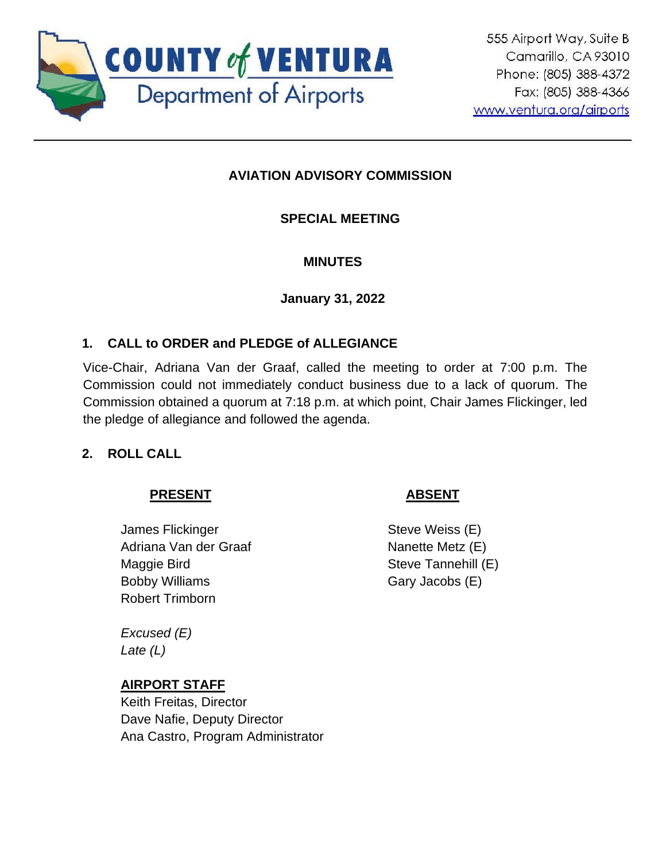

# **AVIATION ADVISORY COMMISSION**

## **SPECIAL MEETING**

#### **MINUTES**

#### **January 31, 2022**

## **1. CALL to ORDER and PLEDGE of ALLEGIANCE**

Vice-Chair, Adriana Van der Graaf, called the meeting to order at 7:00 p.m. The Commission could not immediately conduct business due to a lack of quorum. The Commission obtained a quorum at 7:18 p.m. at which point, Chair James Flickinger, led the pledge of allegiance and followed the agenda.

## **2. ROLL CALL**

## **PRESENT**

James Flickinger Adriana Van der Graaf Maggie Bird Bobby Williams Robert Trimborn

*Excused (E) Late (L)*

## **AIRPORT STAFF**

Keith Freitas, Director Dave Nafie, Deputy Director Ana Castro, Program Administrator

## **ABSENT**

Steve Weiss (E) Nanette Metz (E) Steve Tannehill (E) Gary Jacobs (E)